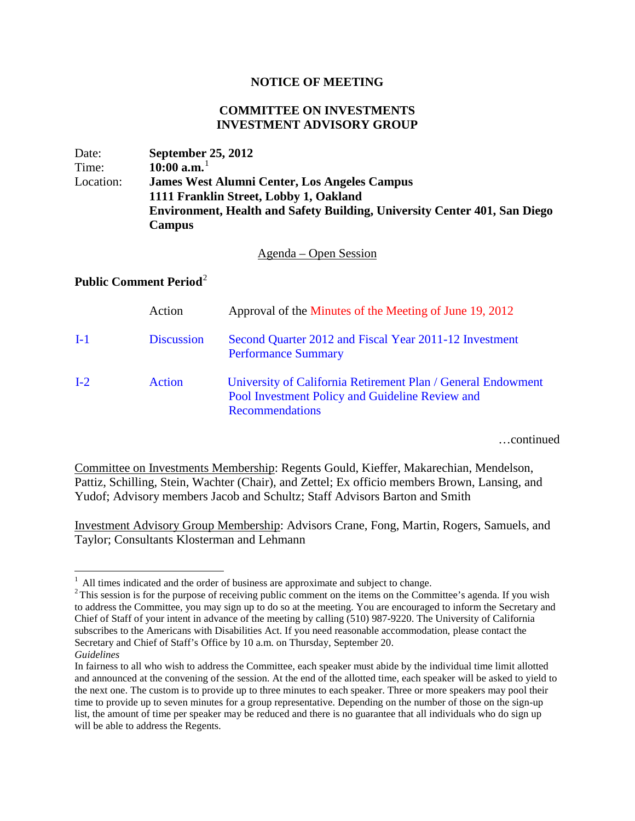## **NOTICE OF MEETING**

## **COMMITTEE ON INVESTMENTS INVESTMENT ADVISORY GROUP**

| Date:     | <b>September 25, 2012</b>                                                 |
|-----------|---------------------------------------------------------------------------|
| Time:     | 10:00 $\mathrm{a.m.}^1$                                                   |
| Location: | <b>James West Alumni Center, Los Angeles Campus</b>                       |
|           | 1111 Franklin Street, Lobby 1, Oakland                                    |
|           | Environment, Health and Safety Building, University Center 401, San Diego |
|           | <b>Campus</b>                                                             |

Agenda – Open Session

## **Public Comment Period**[2](#page-0-1)

|       | Action            | Approval of the Minutes of the Meeting of June 19, 2012                                                                                   |
|-------|-------------------|-------------------------------------------------------------------------------------------------------------------------------------------|
| $I-1$ | <b>Discussion</b> | Second Quarter 2012 and Fiscal Year 2011-12 Investment<br><b>Performance Summary</b>                                                      |
| $I-2$ | <b>Action</b>     | University of California Retirement Plan / General Endowment<br>Pool Investment Policy and Guideline Review and<br><b>Recommendations</b> |

…continued

Committee on Investments Membership: Regents Gould, Kieffer, Makarechian, Mendelson, Pattiz, Schilling, Stein, Wachter (Chair), and Zettel; Ex officio members Brown, Lansing, and Yudof; Advisory members Jacob and Schultz; Staff Advisors Barton and Smith

Investment Advisory Group Membership: Advisors Crane, Fong, Martin, Rogers, Samuels, and Taylor; Consultants Klosterman and Lehmann

<span id="page-0-1"></span><span id="page-0-0"></span><sup>&</sup>lt;sup>1</sup> All times indicated and the order of business are approximate and subject to change. <sup>2</sup> This session is for the purpose of receiving public comment on the items on the Committee's agenda. If you wish to address the Committee, you may sign up to do so at the meeting. You are encouraged to inform the Secretary and Chief of Staff of your intent in advance of the meeting by calling (510) 987-9220. The University of California subscribes to the Americans with Disabilities Act. If you need reasonable accommodation, please contact the Secretary and Chief of Staff's Office by 10 a.m. on Thursday, September 20.

*Guidelines*

In fairness to all who wish to address the Committee, each speaker must abide by the individual time limit allotted and announced at the convening of the session. At the end of the allotted time, each speaker will be asked to yield to the next one. The custom is to provide up to three minutes to each speaker. Three or more speakers may pool their time to provide up to seven minutes for a group representative. Depending on the number of those on the sign-up list, the amount of time per speaker may be reduced and there is no guarantee that all individuals who do sign up will be able to address the Regents.